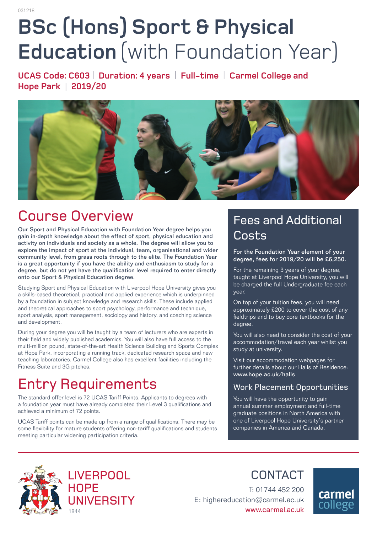# **BSc (Hons) Sport & Physical Education** (with Foundation Year)

**UCAS Code: C603** | **Duration: 4 years** | **Full-time** | **Carmel College and Hope Park** | **2019/20** 



# Course Overview

Our Sport and Physical Education with Foundation Year degree helps you gain in-depth knowledge about the effect of sport, physical education and activity on individuals and society as a whole. The degree will allow you to explore the impact of sport at the individual, team, organisational and wider community level, from grass roots through to the elite. The Foundation Year is a great opportunity if you have the ability and enthusiasm to study for a degree, but do not yet have the qualification level required to enter directly onto our Sport & Physical Education degree.

Studying Sport and Physical Education with Liverpool Hope University gives you a skills-based theoretical, practical and applied experience which is underpinned by a foundation in subject knowledge and research skills. These include applied and theoretical approaches to sport psychology, performance and technique, sport analysis, sport management, sociology and history, and coaching science and development.

During your degree you will be taught by a team of lecturers who are experts in their field and widely published academics. You will also have full access to the multi-million pound, state-of-the-art Health Science Building and Sports Complex at Hope Park, incorporating a running track, dedicated research space and new teaching laboratories. Carmel College also has excellent facilities including the Fitness Suite and 3G pitches.

# Entry Requirements

The standard offer level is 72 UCAS Tariff Points. Applicants to degrees with a foundation year must have already completed their Level 3 qualifications and achieved a minimum of 72 points.

UCAS Tariff points can be made up from a range of qualifications. There may be some flexibility for mature students offering non-tariff qualifications and students meeting particular widening participation criteria.

### Fees and Additional Costs

For the Foundation Year element of your degree, fees for 2019/20 will be £6,250.

For the remaining 3 years of your degree, taught at Liverpool Hope University, you will be charged the full Undergraduate fee each year.

On top of your tuition fees, you will need approximately £200 to cover the cost of any fieldtrips and to buy core textbooks for the degree.

You will also need to consider the cost of your accommodation/travel each year whilst you study at university.

Visit our accommodation webpages for further details about our Halls of Residence: www.hope.ac.uk/halls

#### Work Placement Opportunities

You will have the opportunity to gain annual summer employment and full-time graduate positions in North America with one of Liverpool Hope University's partner companies in America and Canada.



**LIVERPOOL HOPE UNIVERSITY** 1844

CONTACT

T: 01744 452 200 E: highereducation@carmel.ac.uk www.carmel.ac.uk